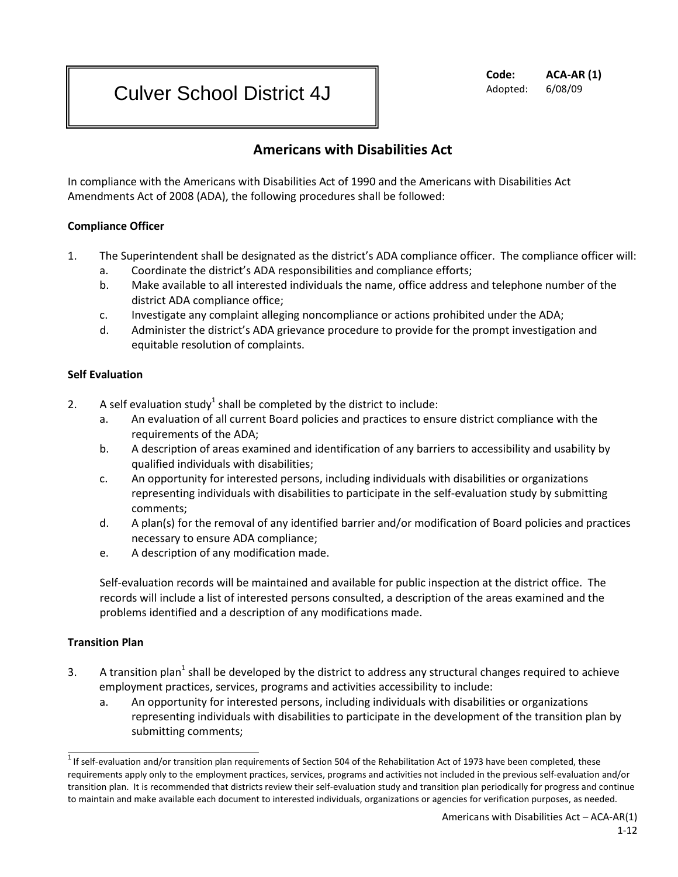#### **Code: ACA-AR (1)** Adopted: 6/08/09

# Culver School District 4J

## **Americans with Disabilities Act**

In compliance with the Americans with Disabilities Act of 1990 and the Americans with Disabilities Act Amendments Act of 2008 (ADA), the following procedures shall be followed:

## **Compliance Officer**

- 1. The Superintendent shall be designated as the district's ADA compliance officer. The compliance officer will:
	- a. Coordinate the district's ADA responsibilities and compliance efforts;
	- b. Make available to all interested individuals the name, office address and telephone number of the district ADA compliance office;
	- c. Investigate any complaint alleging noncompliance or actions prohibited under the ADA;
	- d. Administer the district's ADA grievance procedure to provide for the prompt investigation and equitable resolution of complaints.

## **Self Evaluation**

- 2. A self evaluation study<sup>1</sup> shall be completed by the district to include:
	- a. An evaluation of all current Board policies and practices to ensure district compliance with the requirements of the ADA;
	- b. A description of areas examined and identification of any barriers to accessibility and usability by qualified individuals with disabilities;
	- c. An opportunity for interested persons, including individuals with disabilities or organizations representing individuals with disabilities to participate in the self-evaluation study by submitting comments;
	- d. A plan(s) for the removal of any identified barrier and/or modification of Board policies and practices necessary to ensure ADA compliance;
	- e. A description of any modification made.

Self-evaluation records will be maintained and available for public inspection at the district office. The records will include a list of interested persons consulted, a description of the areas examined and the problems identified and a description of any modifications made.

## **Transition Plan**

- 3. A transition plan<sup>1</sup> shall be developed by the district to address any structural changes required to achieve employment practices, services, programs and activities accessibility to include:
	- a. An opportunity for interested persons, including individuals with disabilities or organizations representing individuals with disabilities to participate in the development of the transition plan by submitting comments;

 $1$  If self-evaluation and/or transition plan requirements of Section 504 of the Rehabilitation Act of 1973 have been completed, these requirements apply only to the employment practices, services, programs and activities not included in the previous self-evaluation and/or transition plan. It is recommended that districts review their self-evaluation study and transition plan periodically for progress and continue to maintain and make available each document to interested individuals, organizations or agencies for verification purposes, as needed.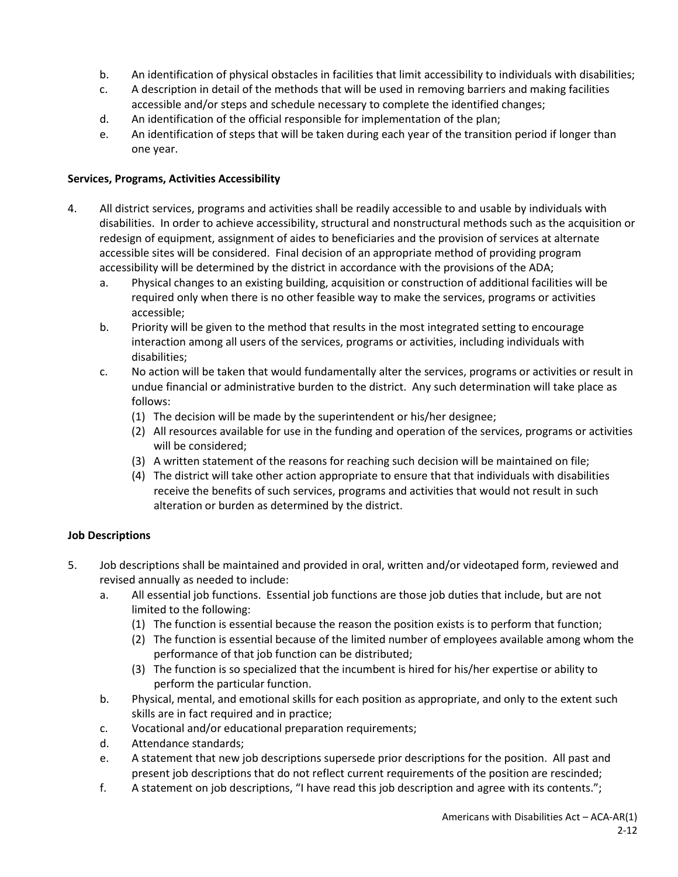- b. An identification of physical obstacles in facilities that limit accessibility to individuals with disabilities;
- c. A description in detail of the methods that will be used in removing barriers and making facilities accessible and/or steps and schedule necessary to complete the identified changes;
- d. An identification of the official responsible for implementation of the plan;
- e. An identification of steps that will be taken during each year of the transition period if longer than one year.

#### **Services, Programs, Activities Accessibility**

- 4. All district services, programs and activities shall be readily accessible to and usable by individuals with disabilities. In order to achieve accessibility, structural and nonstructural methods such as the acquisition or redesign of equipment, assignment of aides to beneficiaries and the provision of services at alternate accessible sites will be considered. Final decision of an appropriate method of providing program accessibility will be determined by the district in accordance with the provisions of the ADA;
	- a. Physical changes to an existing building, acquisition or construction of additional facilities will be required only when there is no other feasible way to make the services, programs or activities accessible;
	- b. Priority will be given to the method that results in the most integrated setting to encourage interaction among all users of the services, programs or activities, including individuals with disabilities;
	- c. No action will be taken that would fundamentally alter the services, programs or activities or result in undue financial or administrative burden to the district. Any such determination will take place as follows:
		- (1) The decision will be made by the superintendent or his/her designee;
		- (2) All resources available for use in the funding and operation of the services, programs or activities will be considered;
		- (3) A written statement of the reasons for reaching such decision will be maintained on file;
		- (4) The district will take other action appropriate to ensure that that individuals with disabilities receive the benefits of such services, programs and activities that would not result in such alteration or burden as determined by the district.

#### **Job Descriptions**

- 5. Job descriptions shall be maintained and provided in oral, written and/or videotaped form, reviewed and revised annually as needed to include:
	- a. All essential job functions. Essential job functions are those job duties that include, but are not limited to the following:
		- (1) The function is essential because the reason the position exists is to perform that function;
		- (2) The function is essential because of the limited number of employees available among whom the performance of that job function can be distributed;
		- (3) The function is so specialized that the incumbent is hired for his/her expertise or ability to perform the particular function.
	- b. Physical, mental, and emotional skills for each position as appropriate, and only to the extent such skills are in fact required and in practice;
	- c. Vocational and/or educational preparation requirements;
	- d. Attendance standards;
	- e. A statement that new job descriptions supersede prior descriptions for the position. All past and present job descriptions that do not reflect current requirements of the position are rescinded;
	- f. A statement on job descriptions, "I have read this job description and agree with its contents.";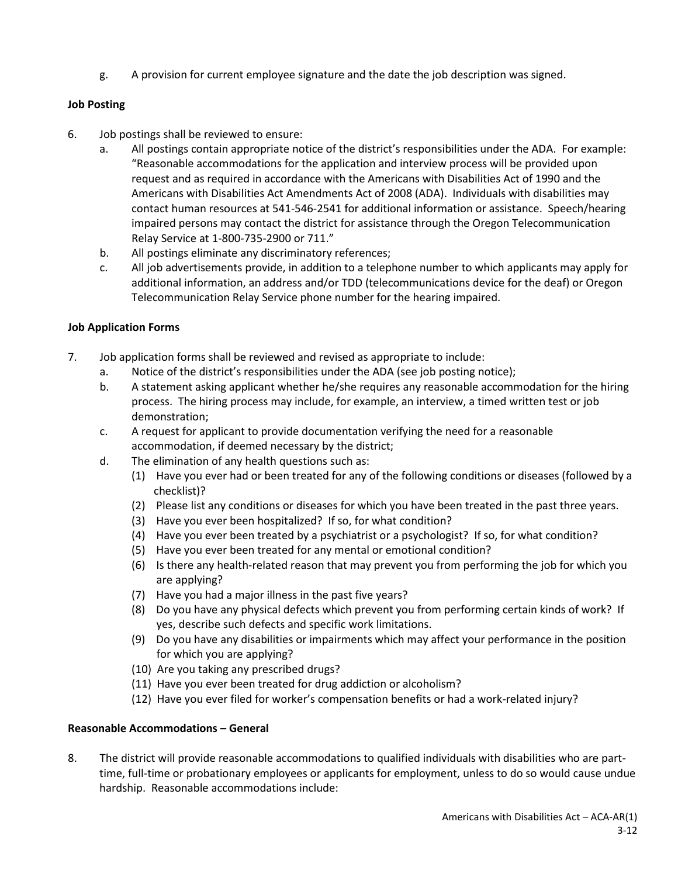g. A provision for current employee signature and the date the job description was signed.

## **Job Posting**

- 6. Job postings shall be reviewed to ensure:
	- a. All postings contain appropriate notice of the district's responsibilities under the ADA. For example: "Reasonable accommodations for the application and interview process will be provided upon request and as required in accordance with the Americans with Disabilities Act of 1990 and the Americans with Disabilities Act Amendments Act of 2008 (ADA). Individuals with disabilities may contact human resources at 541-546-2541 for additional information or assistance. Speech/hearing impaired persons may contact the district for assistance through the Oregon Telecommunication Relay Service at 1-800-735-2900 or 711."
	- b. All postings eliminate any discriminatory references;
	- c. All job advertisements provide, in addition to a telephone number to which applicants may apply for additional information, an address and/or TDD (telecommunications device for the deaf) or Oregon Telecommunication Relay Service phone number for the hearing impaired.

## **Job Application Forms**

- 7. Job application forms shall be reviewed and revised as appropriate to include:
	- a. Notice of the district's responsibilities under the ADA (see job posting notice);
	- b. A statement asking applicant whether he/she requires any reasonable accommodation for the hiring process. The hiring process may include, for example, an interview, a timed written test or job demonstration;
	- c. A request for applicant to provide documentation verifying the need for a reasonable accommodation, if deemed necessary by the district;
	- d. The elimination of any health questions such as:
		- (1) Have you ever had or been treated for any of the following conditions or diseases (followed by a checklist)?
		- (2) Please list any conditions or diseases for which you have been treated in the past three years.
		- (3) Have you ever been hospitalized? If so, for what condition?
		- (4) Have you ever been treated by a psychiatrist or a psychologist? If so, for what condition?
		- (5) Have you ever been treated for any mental or emotional condition?
		- (6) Is there any health-related reason that may prevent you from performing the job for which you are applying?
		- (7) Have you had a major illness in the past five years?
		- (8) Do you have any physical defects which prevent you from performing certain kinds of work? If yes, describe such defects and specific work limitations.
		- (9) Do you have any disabilities or impairments which may affect your performance in the position for which you are applying?
		- (10) Are you taking any prescribed drugs?
		- (11) Have you ever been treated for drug addiction or alcoholism?
		- (12) Have you ever filed for worker's compensation benefits or had a work-related injury?

## **Reasonable Accommodations – General**

8. The district will provide reasonable accommodations to qualified individuals with disabilities who are parttime, full-time or probationary employees or applicants for employment, unless to do so would cause undue hardship. Reasonable accommodations include: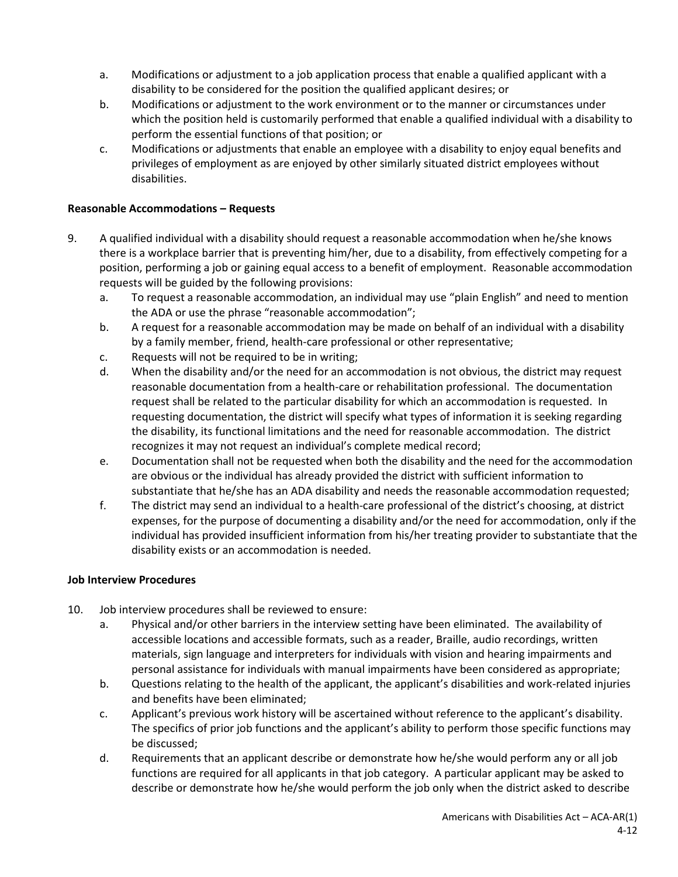- a. Modifications or adjustment to a job application process that enable a qualified applicant with a disability to be considered for the position the qualified applicant desires; or
- b. Modifications or adjustment to the work environment or to the manner or circumstances under which the position held is customarily performed that enable a qualified individual with a disability to perform the essential functions of that position; or
- c. Modifications or adjustments that enable an employee with a disability to enjoy equal benefits and privileges of employment as are enjoyed by other similarly situated district employees without disabilities.

#### **Reasonable Accommodations – Requests**

- 9. A qualified individual with a disability should request a reasonable accommodation when he/she knows there is a workplace barrier that is preventing him/her, due to a disability, from effectively competing for a position, performing a job or gaining equal access to a benefit of employment. Reasonable accommodation requests will be guided by the following provisions:
	- a. To request a reasonable accommodation, an individual may use "plain English" and need to mention the ADA or use the phrase "reasonable accommodation";
	- b. A request for a reasonable accommodation may be made on behalf of an individual with a disability by a family member, friend, health-care professional or other representative;
	- c. Requests will not be required to be in writing;
	- d. When the disability and/or the need for an accommodation is not obvious, the district may request reasonable documentation from a health-care or rehabilitation professional. The documentation request shall be related to the particular disability for which an accommodation is requested. In requesting documentation, the district will specify what types of information it is seeking regarding the disability, its functional limitations and the need for reasonable accommodation. The district recognizes it may not request an individual's complete medical record;
	- e. Documentation shall not be requested when both the disability and the need for the accommodation are obvious or the individual has already provided the district with sufficient information to substantiate that he/she has an ADA disability and needs the reasonable accommodation requested;
	- f. The district may send an individual to a health-care professional of the district's choosing, at district expenses, for the purpose of documenting a disability and/or the need for accommodation, only if the individual has provided insufficient information from his/her treating provider to substantiate that the disability exists or an accommodation is needed.

#### **Job Interview Procedures**

- 10. Job interview procedures shall be reviewed to ensure:
	- a. Physical and/or other barriers in the interview setting have been eliminated. The availability of accessible locations and accessible formats, such as a reader, Braille, audio recordings, written materials, sign language and interpreters for individuals with vision and hearing impairments and personal assistance for individuals with manual impairments have been considered as appropriate;
	- b. Questions relating to the health of the applicant, the applicant's disabilities and work-related injuries and benefits have been eliminated;
	- c. Applicant's previous work history will be ascertained without reference to the applicant's disability. The specifics of prior job functions and the applicant's ability to perform those specific functions may be discussed;
	- d. Requirements that an applicant describe or demonstrate how he/she would perform any or all job functions are required for all applicants in that job category. A particular applicant may be asked to describe or demonstrate how he/she would perform the job only when the district asked to describe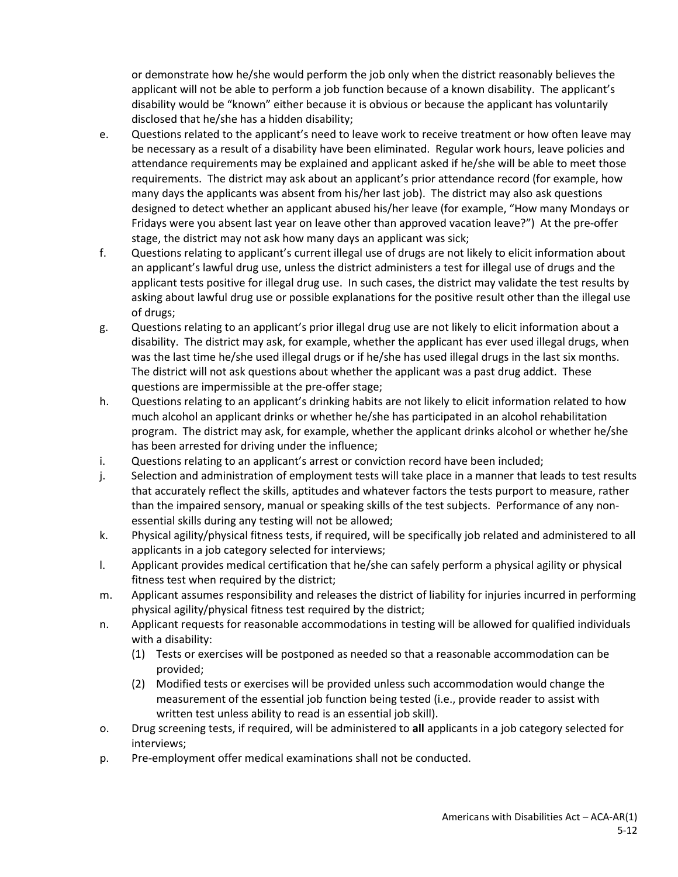or demonstrate how he/she would perform the job only when the district reasonably believes the applicant will not be able to perform a job function because of a known disability. The applicant's disability would be "known" either because it is obvious or because the applicant has voluntarily disclosed that he/she has a hidden disability;

- e. Questions related to the applicant's need to leave work to receive treatment or how often leave may be necessary as a result of a disability have been eliminated. Regular work hours, leave policies and attendance requirements may be explained and applicant asked if he/she will be able to meet those requirements. The district may ask about an applicant's prior attendance record (for example, how many days the applicants was absent from his/her last job). The district may also ask questions designed to detect whether an applicant abused his/her leave (for example, "How many Mondays or Fridays were you absent last year on leave other than approved vacation leave?") At the pre-offer stage, the district may not ask how many days an applicant was sick;
- f. Questions relating to applicant's current illegal use of drugs are not likely to elicit information about an applicant's lawful drug use, unless the district administers a test for illegal use of drugs and the applicant tests positive for illegal drug use. In such cases, the district may validate the test results by asking about lawful drug use or possible explanations for the positive result other than the illegal use of drugs;
- g. Questions relating to an applicant's prior illegal drug use are not likely to elicit information about a disability. The district may ask, for example, whether the applicant has ever used illegal drugs, when was the last time he/she used illegal drugs or if he/she has used illegal drugs in the last six months. The district will not ask questions about whether the applicant was a past drug addict. These questions are impermissible at the pre-offer stage;
- h. Questions relating to an applicant's drinking habits are not likely to elicit information related to how much alcohol an applicant drinks or whether he/she has participated in an alcohol rehabilitation program. The district may ask, for example, whether the applicant drinks alcohol or whether he/she has been arrested for driving under the influence;
- i. Questions relating to an applicant's arrest or conviction record have been included;
- j. Selection and administration of employment tests will take place in a manner that leads to test results that accurately reflect the skills, aptitudes and whatever factors the tests purport to measure, rather than the impaired sensory, manual or speaking skills of the test subjects. Performance of any nonessential skills during any testing will not be allowed;
- k. Physical agility/physical fitness tests, if required, will be specifically job related and administered to all applicants in a job category selected for interviews;
- l. Applicant provides medical certification that he/she can safely perform a physical agility or physical fitness test when required by the district;
- m. Applicant assumes responsibility and releases the district of liability for injuries incurred in performing physical agility/physical fitness test required by the district;
- n. Applicant requests for reasonable accommodations in testing will be allowed for qualified individuals with a disability:
	- (1) Tests or exercises will be postponed as needed so that a reasonable accommodation can be provided;
	- (2) Modified tests or exercises will be provided unless such accommodation would change the measurement of the essential job function being tested (i.e., provide reader to assist with written test unless ability to read is an essential job skill).
- o. Drug screening tests, if required, will be administered to **all** applicants in a job category selected for interviews;
- p. Pre-employment offer medical examinations shall not be conducted.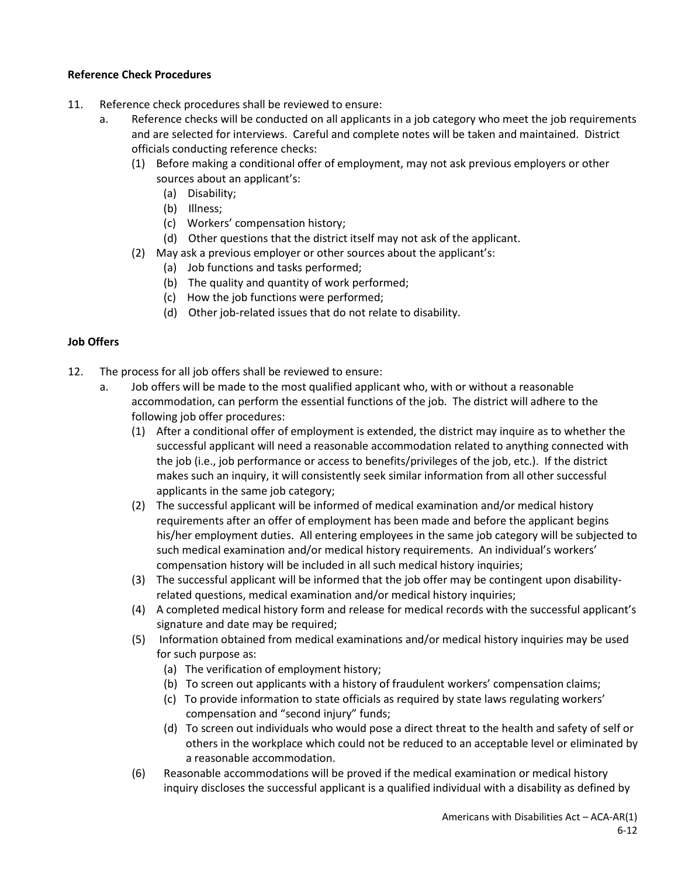## **Reference Check Procedures**

- 11. Reference check procedures shall be reviewed to ensure:
	- a. Reference checks will be conducted on all applicants in a job category who meet the job requirements and are selected for interviews. Careful and complete notes will be taken and maintained. District officials conducting reference checks:
		- (1) Before making a conditional offer of employment, may not ask previous employers or other sources about an applicant's:
			- (a) Disability;
			- (b) Illness;
			- (c) Workers' compensation history;
			- (d) Other questions that the district itself may not ask of the applicant.
		- (2) May ask a previous employer or other sources about the applicant's:
			- (a) Job functions and tasks performed;
			- (b) The quality and quantity of work performed;
			- (c) How the job functions were performed;
			- (d) Other job-related issues that do not relate to disability.

## **Job Offers**

- 12. The process for all job offers shall be reviewed to ensure:
	- a. Job offers will be made to the most qualified applicant who, with or without a reasonable accommodation, can perform the essential functions of the job. The district will adhere to the following job offer procedures:
		- (1) After a conditional offer of employment is extended, the district may inquire as to whether the successful applicant will need a reasonable accommodation related to anything connected with the job (i.e., job performance or access to benefits/privileges of the job, etc.). If the district makes such an inquiry, it will consistently seek similar information from all other successful applicants in the same job category;
		- (2) The successful applicant will be informed of medical examination and/or medical history requirements after an offer of employment has been made and before the applicant begins his/her employment duties. All entering employees in the same job category will be subjected to such medical examination and/or medical history requirements. An individual's workers' compensation history will be included in all such medical history inquiries;
		- (3) The successful applicant will be informed that the job offer may be contingent upon disability related questions, medical examination and/or medical history inquiries;
		- (4) A completed medical history form and release for medical records with the successful applicant's signature and date may be required;
		- (5) Information obtained from medical examinations and/or medical history inquiries may be used for such purpose as:
			- (a) The verification of employment history;
			- (b) To screen out applicants with a history of fraudulent workers' compensation claims;
			- (c) To provide information to state officials as required by state laws regulating workers' compensation and "second injury" funds;
			- (d) To screen out individuals who would pose a direct threat to the health and safety of self or others in the workplace which could not be reduced to an acceptable level or eliminated by a reasonable accommodation.
		- (6) Reasonable accommodations will be proved if the medical examination or medical history inquiry discloses the successful applicant is a qualified individual with a disability as defined by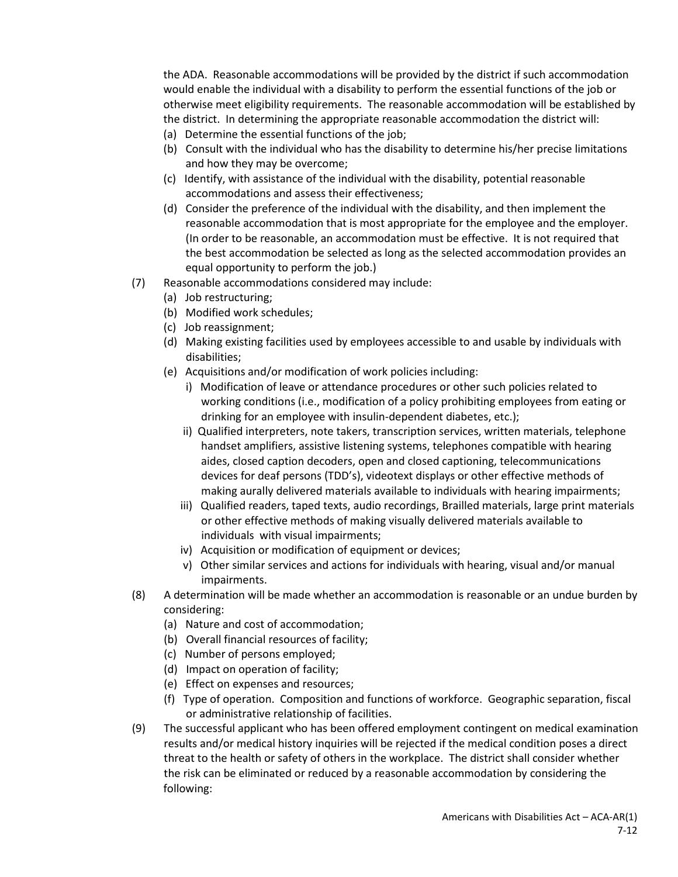the ADA. Reasonable accommodations will be provided by the district if such accommodation would enable the individual with a disability to perform the essential functions of the job or otherwise meet eligibility requirements. The reasonable accommodation will be established by the district. In determining the appropriate reasonable accommodation the district will:

- (a) Determine the essential functions of the job;
- (b) Consult with the individual who has the disability to determine his/her precise limitations and how they may be overcome;
- (c) Identify, with assistance of the individual with the disability, potential reasonable accommodations and assess their effectiveness;
- (d) Consider the preference of the individual with the disability, and then implement the reasonable accommodation that is most appropriate for the employee and the employer. (In order to be reasonable, an accommodation must be effective. It is not required that the best accommodation be selected as long as the selected accommodation provides an equal opportunity to perform the job.)
- (7) Reasonable accommodations considered may include:
	- (a) Job restructuring;
	- (b) Modified work schedules;
	- (c) Job reassignment;
	- (d) Making existing facilities used by employees accessible to and usable by individuals with disabilities;
	- (e) Acquisitions and/or modification of work policies including:
		- i) Modification of leave or attendance procedures or other such policies related to working conditions (i.e., modification of a policy prohibiting employees from eating or drinking for an employee with insulin-dependent diabetes, etc.);
		- ii) Qualified interpreters, note takers, transcription services, written materials, telephone handset amplifiers, assistive listening systems, telephones compatible with hearing aides, closed caption decoders, open and closed captioning, telecommunications devices for deaf persons (TDD's), videotext displays or other effective methods of making aurally delivered materials available to individuals with hearing impairments;
		- iii) Qualified readers, taped texts, audio recordings, Brailled materials, large print materials or other effective methods of making visually delivered materials available to individuals with visual impairments;
		- iv) Acquisition or modification of equipment or devices;
		- v) Other similar services and actions for individuals with hearing, visual and/or manual impairments.
- (8) A determination will be made whether an accommodation is reasonable or an undue burden by considering:
	- (a) Nature and cost of accommodation;
	- (b) Overall financial resources of facility;
	- (c) Number of persons employed;
	- (d) Impact on operation of facility;
	- (e) Effect on expenses and resources;
	- (f) Type of operation. Composition and functions of workforce. Geographic separation, fiscal or administrative relationship of facilities.
- (9) The successful applicant who has been offered employment contingent on medical examination results and/or medical history inquiries will be rejected if the medical condition poses a direct threat to the health or safety of others in the workplace. The district shall consider whether the risk can be eliminated or reduced by a reasonable accommodation by considering the following: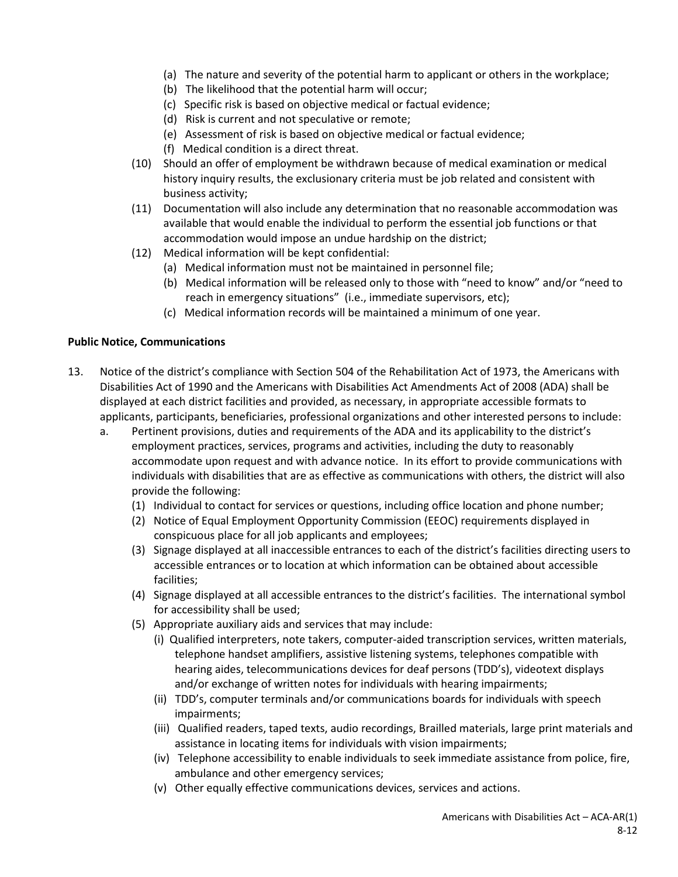- (a) The nature and severity of the potential harm to applicant or others in the workplace;
- (b) The likelihood that the potential harm will occur;
- (c) Specific risk is based on objective medical or factual evidence;
- (d) Risk is current and not speculative or remote;
- (e) Assessment of risk is based on objective medical or factual evidence;
- (f) Medical condition is a direct threat.
- (10) Should an offer of employment be withdrawn because of medical examination or medical history inquiry results, the exclusionary criteria must be job related and consistent with business activity;
- (11) Documentation will also include any determination that no reasonable accommodation was available that would enable the individual to perform the essential job functions or that accommodation would impose an undue hardship on the district;
- (12) Medical information will be kept confidential:
	- (a) Medical information must not be maintained in personnel file;
	- (b) Medical information will be released only to those with "need to know" and/or "need to reach in emergency situations" (i.e., immediate supervisors, etc);
	- (c) Medical information records will be maintained a minimum of one year.

## **Public Notice, Communications**

- 13. Notice of the district's compliance with Section 504 of the Rehabilitation Act of 1973, the Americans with Disabilities Act of 1990 and the Americans with Disabilities Act Amendments Act of 2008 (ADA) shall be displayed at each district facilities and provided, as necessary, in appropriate accessible formats to applicants, participants, beneficiaries, professional organizations and other interested persons to include:
	- a. Pertinent provisions, duties and requirements of the ADA and its applicability to the district's employment practices, services, programs and activities, including the duty to reasonably accommodate upon request and with advance notice. In its effort to provide communications with individuals with disabilities that are as effective as communications with others, the district will also provide the following:
		- (1) Individual to contact for services or questions, including office location and phone number;
		- (2) Notice of Equal Employment Opportunity Commission (EEOC) requirements displayed in conspicuous place for all job applicants and employees;
		- (3) Signage displayed at all inaccessible entrances to each of the district's facilities directing users to accessible entrances or to location at which information can be obtained about accessible facilities;
		- (4) Signage displayed at all accessible entrances to the district's facilities. The international symbol for accessibility shall be used;
		- (5) Appropriate auxiliary aids and services that may include:
			- (i) Qualified interpreters, note takers, computer-aided transcription services, written materials, telephone handset amplifiers, assistive listening systems, telephones compatible with hearing aides, telecommunications devices for deaf persons (TDD's), videotext displays and/or exchange of written notes for individuals with hearing impairments;
			- (ii) TDD's, computer terminals and/or communications boards for individuals with speech impairments;
			- (iii) Qualified readers, taped texts, audio recordings, Brailled materials, large print materials and assistance in locating items for individuals with vision impairments;
			- (iv) Telephone accessibility to enable individuals to seek immediate assistance from police, fire, ambulance and other emergency services;
			- (v) Other equally effective communications devices, services and actions.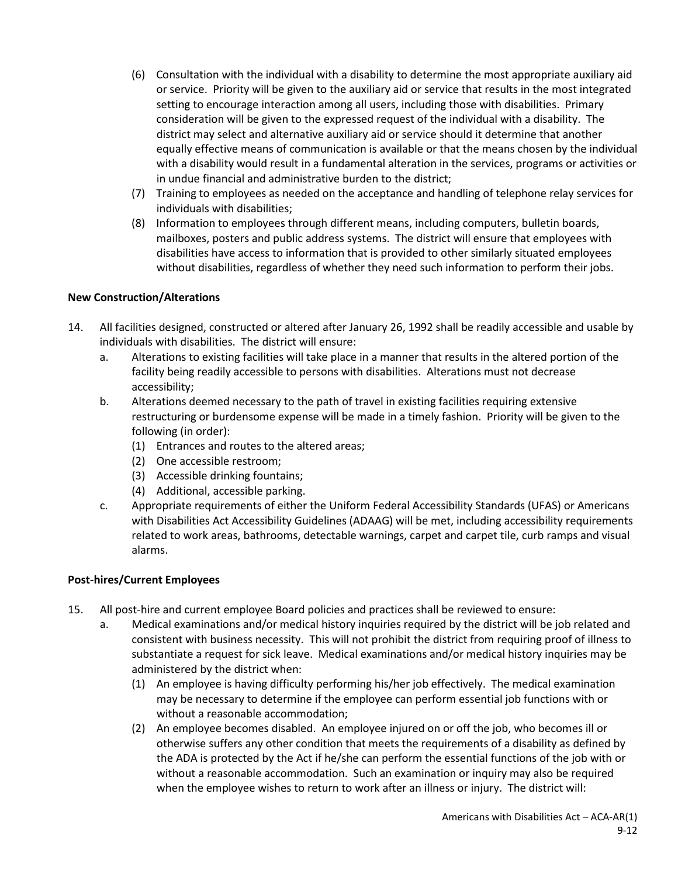- (6) Consultation with the individual with a disability to determine the most appropriate auxiliary aid or service. Priority will be given to the auxiliary aid or service that results in the most integrated setting to encourage interaction among all users, including those with disabilities. Primary consideration will be given to the expressed request of the individual with a disability. The district may select and alternative auxiliary aid or service should it determine that another equally effective means of communication is available or that the means chosen by the individual with a disability would result in a fundamental alteration in the services, programs or activities or in undue financial and administrative burden to the district;
- (7) Training to employees as needed on the acceptance and handling of telephone relay services for individuals with disabilities;
- (8) Information to employees through different means, including computers, bulletin boards, mailboxes, posters and public address systems. The district will ensure that employees with disabilities have access to information that is provided to other similarly situated employees without disabilities, regardless of whether they need such information to perform their jobs.

## **New Construction/Alterations**

- 14. All facilities designed, constructed or altered after January 26, 1992 shall be readily accessible and usable by individuals with disabilities. The district will ensure:
	- a. Alterations to existing facilities will take place in a manner that results in the altered portion of the facility being readily accessible to persons with disabilities. Alterations must not decrease accessibility;
	- b. Alterations deemed necessary to the path of travel in existing facilities requiring extensive restructuring or burdensome expense will be made in a timely fashion. Priority will be given to the following (in order):
		- (1) Entrances and routes to the altered areas;
		- (2) One accessible restroom;
		- (3) Accessible drinking fountains;
		- (4) Additional, accessible parking.
	- c. Appropriate requirements of either the Uniform Federal Accessibility Standards (UFAS) or Americans with Disabilities Act Accessibility Guidelines (ADAAG) will be met, including accessibility requirements related to work areas, bathrooms, detectable warnings, carpet and carpet tile, curb ramps and visual alarms.

#### **Post-hires/Current Employees**

- 15. All post-hire and current employee Board policies and practices shall be reviewed to ensure:
	- a. Medical examinations and/or medical history inquiries required by the district will be job related and consistent with business necessity. This will not prohibit the district from requiring proof of illness to substantiate a request for sick leave. Medical examinations and/or medical history inquiries may be administered by the district when:
		- (1) An employee is having difficulty performing his/her job effectively. The medical examination may be necessary to determine if the employee can perform essential job functions with or without a reasonable accommodation;
		- (2) An employee becomes disabled. An employee injured on or off the job, who becomes ill or otherwise suffers any other condition that meets the requirements of a disability as defined by the ADA is protected by the Act if he/she can perform the essential functions of the job with or without a reasonable accommodation. Such an examination or inquiry may also be required when the employee wishes to return to work after an illness or injury. The district will: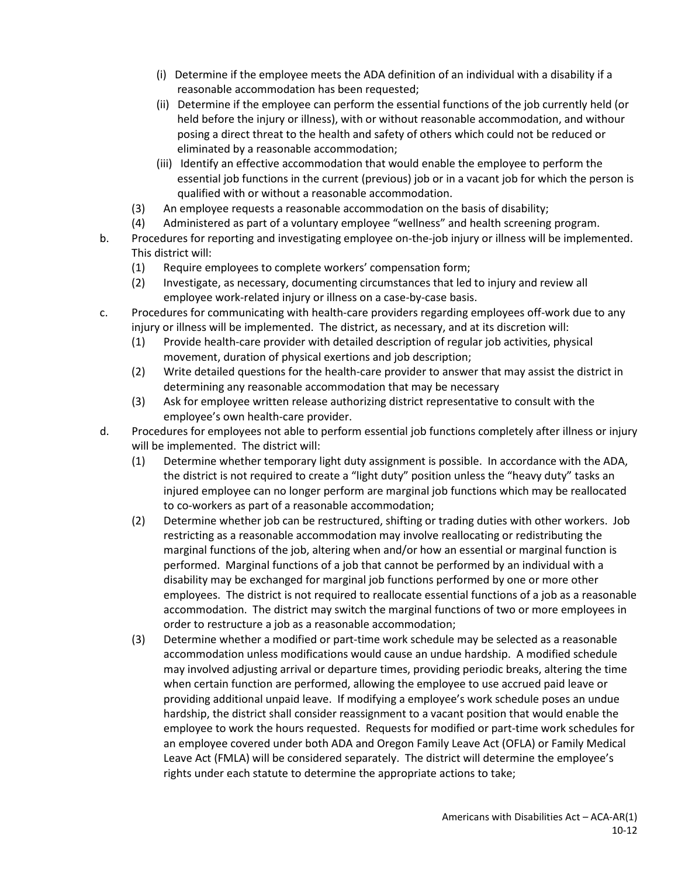- (i) Determine if the employee meets the ADA definition of an individual with a disability if a reasonable accommodation has been requested;
- (ii) Determine if the employee can perform the essential functions of the job currently held (or held before the injury or illness), with or without reasonable accommodation, and withour posing a direct threat to the health and safety of others which could not be reduced or eliminated by a reasonable accommodation;
- (iii) Identify an effective accommodation that would enable the employee to perform the essential job functions in the current (previous) job or in a vacant job for which the person is qualified with or without a reasonable accommodation.
- (3) An employee requests a reasonable accommodation on the basis of disability;
- (4) Administered as part of a voluntary employee "wellness" and health screening program.
- b. Procedures for reporting and investigating employee on-the-job injury or illness will be implemented. This district will:
	- (1) Require employees to complete workers' compensation form;
	- (2) Investigate, as necessary, documenting circumstances that led to injury and review all employee work-related injury or illness on a case-by-case basis.
- c. Procedures for communicating with health-care providers regarding employees off-work due to any injury or illness will be implemented. The district, as necessary, and at its discretion will:
	- (1) Provide health-care provider with detailed description of regular job activities, physical movement, duration of physical exertions and job description;
	- (2) Write detailed questions for the health-care provider to answer that may assist the district in determining any reasonable accommodation that may be necessary
	- (3) Ask for employee written release authorizing district representative to consult with the employee's own health-care provider.
- d. Procedures for employees not able to perform essential job functions completely after illness or injury will be implemented. The district will:
	- (1) Determine whether temporary light duty assignment is possible. In accordance with the ADA, the district is not required to create a "light duty" position unless the "heavy duty" tasks an injured employee can no longer perform are marginal job functions which may be reallocated to co-workers as part of a reasonable accommodation;
	- (2) Determine whether job can be restructured, shifting or trading duties with other workers. Job restricting as a reasonable accommodation may involve reallocating or redistributing the marginal functions of the job, altering when and/or how an essential or marginal function is performed. Marginal functions of a job that cannot be performed by an individual with a disability may be exchanged for marginal job functions performed by one or more other employees. The district is not required to reallocate essential functions of a job as a reasonable accommodation. The district may switch the marginal functions of two or more employees in order to restructure a job as a reasonable accommodation;
	- (3) Determine whether a modified or part-time work schedule may be selected as a reasonable accommodation unless modifications would cause an undue hardship. A modified schedule may involved adjusting arrival or departure times, providing periodic breaks, altering the time when certain function are performed, allowing the employee to use accrued paid leave or providing additional unpaid leave. If modifying a employee's work schedule poses an undue hardship, the district shall consider reassignment to a vacant position that would enable the employee to work the hours requested. Requests for modified or part-time work schedules for an employee covered under both ADA and Oregon Family Leave Act (OFLA) or Family Medical Leave Act (FMLA) will be considered separately. The district will determine the employee's rights under each statute to determine the appropriate actions to take;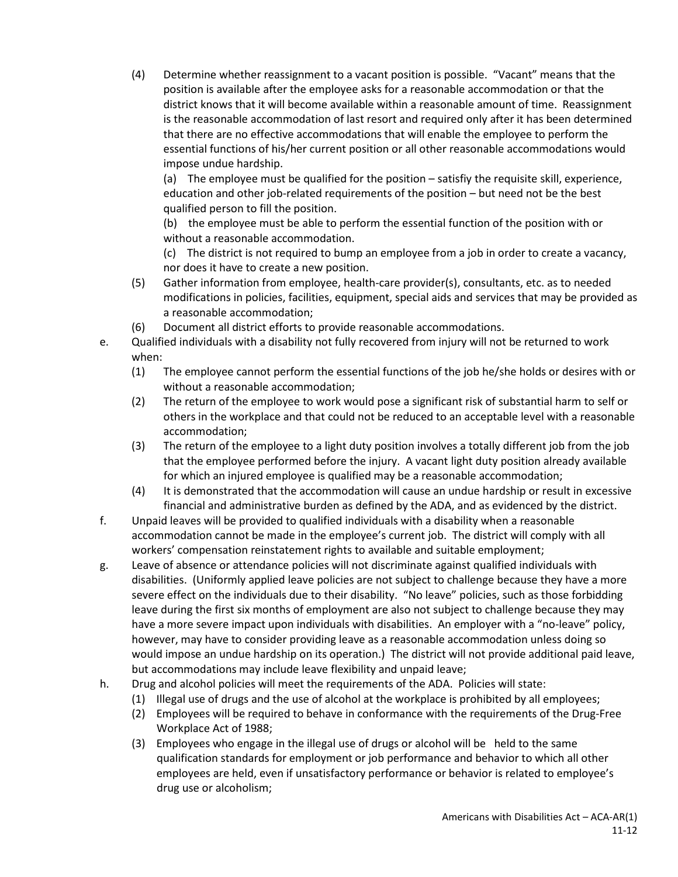(4) Determine whether reassignment to a vacant position is possible. "Vacant" means that the position is available after the employee asks for a reasonable accommodation or that the district knows that it will become available within a reasonable amount of time. Reassignment is the reasonable accommodation of last resort and required only after it has been determined that there are no effective accommodations that will enable the employee to perform the essential functions of his/her current position or all other reasonable accommodations would impose undue hardship.

(a) The employee must be qualified for the position – satisfiy the requisite skill, experience, education and other job-related requirements of the position – but need not be the best qualified person to fill the position.

(b) the employee must be able to perform the essential function of the position with or without a reasonable accommodation.

(c) The district is not required to bump an employee from a job in order to create a vacancy, nor does it have to create a new position.

- (5) Gather information from employee, health-care provider(s), consultants, etc. as to needed modifications in policies, facilities, equipment, special aids and services that may be provided as a reasonable accommodation;
- (6) Document all district efforts to provide reasonable accommodations.
- e. Qualified individuals with a disability not fully recovered from injury will not be returned to work when:
	- (1) The employee cannot perform the essential functions of the job he/she holds or desires with or without a reasonable accommodation;
	- (2) The return of the employee to work would pose a significant risk of substantial harm to self or others in the workplace and that could not be reduced to an acceptable level with a reasonable accommodation;
	- (3) The return of the employee to a light duty position involves a totally different job from the job that the employee performed before the injury. A vacant light duty position already available for which an injured employee is qualified may be a reasonable accommodation;
	- (4) It is demonstrated that the accommodation will cause an undue hardship or result in excessive financial and administrative burden as defined by the ADA, and as evidenced by the district.
- f. Unpaid leaves will be provided to qualified individuals with a disability when a reasonable accommodation cannot be made in the employee's current job. The district will comply with all workers' compensation reinstatement rights to available and suitable employment;
- g. Leave of absence or attendance policies will not discriminate against qualified individuals with disabilities. (Uniformly applied leave policies are not subject to challenge because they have a more severe effect on the individuals due to their disability. "No leave" policies, such as those forbidding leave during the first six months of employment are also not subject to challenge because they may have a more severe impact upon individuals with disabilities. An employer with a "no-leave" policy, however, may have to consider providing leave as a reasonable accommodation unless doing so would impose an undue hardship on its operation.) The district will not provide additional paid leave, but accommodations may include leave flexibility and unpaid leave;
- h. Drug and alcohol policies will meet the requirements of the ADA. Policies will state:
	- (1) Illegal use of drugs and the use of alcohol at the workplace is prohibited by all employees;
	- (2) Employees will be required to behave in conformance with the requirements of the Drug-Free Workplace Act of 1988;
	- (3) Employees who engage in the illegal use of drugs or alcohol will be held to the same qualification standards for employment or job performance and behavior to which all other employees are held, even if unsatisfactory performance or behavior is related to employee's drug use or alcoholism;